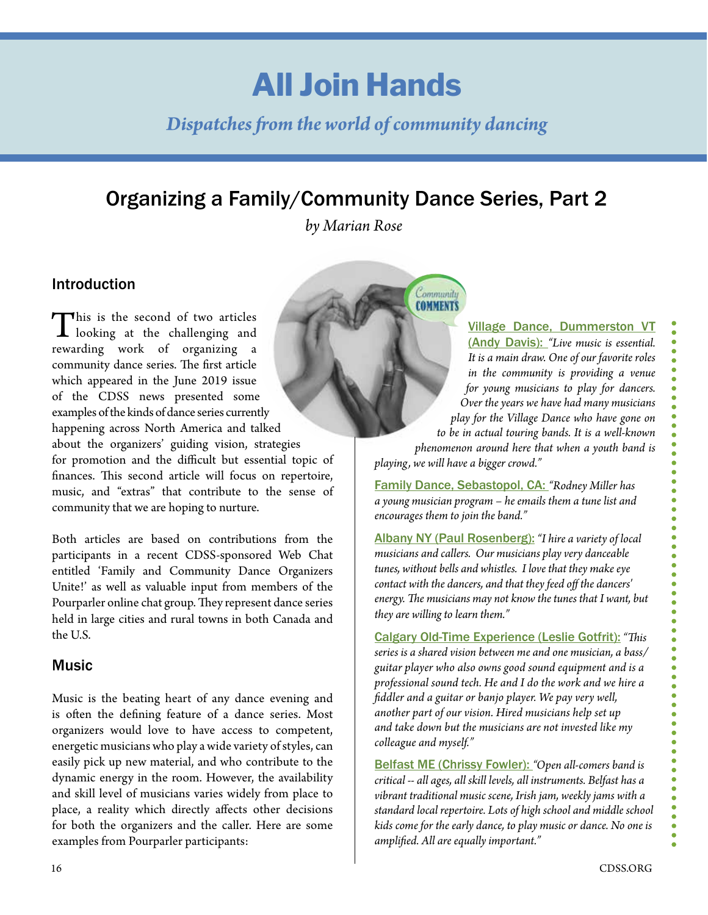# **All Join Hands**

## *Dispatches from the world of community dancing*

## Organizing a Family/Community Dance Series, Part 2

*by Marian Rose*

Community **COMMENTS** 

### Introduction

This is the second of two articles<br>looking at the challenging and<br>revealing work of crossining rewarding work of organizing a community dance series. The first article which appeared in the June 2019 issue of the CDSS news presented some examples of the kinds of dance series currently happening across North America and talked about the organizers' guiding vision, strategies for promotion and the difficult but essential topic of finances. This second article will focus on repertoire, music, and "extras" that contribute to the sense of community that we are hoping to nurture.

Both articles are based on contributions from the participants in a recent CDSS-sponsored Web Chat entitled 'Family and Community Dance Organizers Unite!' as well as valuable input from members of the Pourparler online chat group. They represent dance series held in large cities and rural towns in both Canada and the U.S.

#### Music

Music is the beating heart of any dance evening and is often the defining feature of a dance series. Most organizers would love to have access to competent, energetic musicians who play a wide variety of styles, can easily pick up new material, and who contribute to the dynamic energy in the room. However, the availability and skill level of musicians varies widely from place to place, a reality which directly affects other decisions for both the organizers and the caller. Here are some examples from Pourparler participants:

Village Dance, Dummerston VT (Andy Davis): *"Live music is essential. It is a main draw. One of our favorite roles in the community is providing a venue for young musicians to play for dancers. Over the years we have had many musicians play for the Village Dance who have gone on to be in actual touring bands. It is a well-known phenomenon around here that when a youth band is playing, we will have a bigger crowd."* 

Family Dance, Sebastopol, CA: *"Rodney Miller has a young musician program – he emails them a tune list and encourages them to join the band."*

Albany NY (Paul Rosenberg): *"I hire a variety of local musicians and callers. Our musicians play very danceable tunes, without bells and whistles. I love that they make eye contact with the dancers, and that they feed off the dancers' energy. The musicians may not know the tunes that I want, but they are willing to learn them."*

Calgary Old-Time Experience (Leslie Gotfrit): *"This series is a shared vision between me and one musician, a bass/ guitar player who also owns good sound equipment and is a professional sound tech. He and I do the work and we hire a fiddler and a guitar or banjo player. We pay very well, another part of our vision. Hired musicians help set up and take down but the musicians are not invested like my colleague and myself."*

Belfast ME (Chrissy Fowler): *"Open all-comers band is critical -- all ages, all skill levels, all instruments. Belfast has a vibrant traditional music scene, Irish jam, weekly jams with a standard local repertoire. Lots of high school and middle school kids come for the early dance, to play music or dance. No one is amplified. All are equally important."*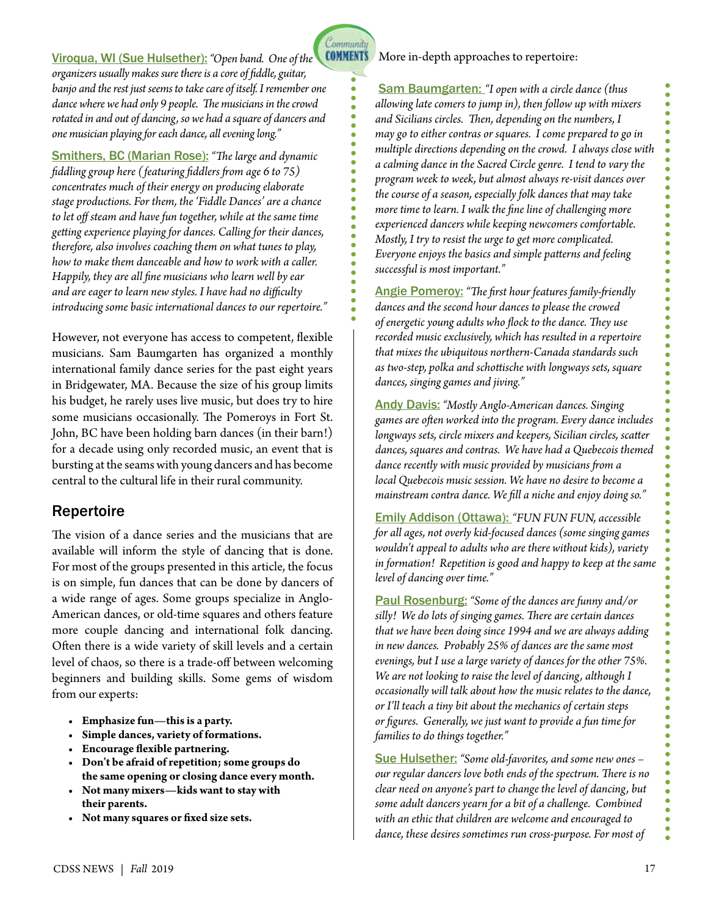Community

Sam Baumgarten: *"I open with a circle dance (thus allowing late comers to jump in), then follow up with mixers and Sicilians circles. Then, depending on the numbers, I may go to either contras or squares. I come prepared to go in multiple directions depending on the crowd. I always close with a calming dance in the Sacred Circle genre. I tend to vary the program week to week, but almost always re-visit dances over the course of a season, especially folk dances that may take more time to learn. I walk the fine line of challenging more experienced dancers while keeping newcomers comfortable. Mostly, I try to resist the urge to get more complicated. Everyone enjoys the basics and simple patterns and feeling successful is most important."* 

Angie Pomeroy: *"The first hour features family-friendly dances and the second hour dances to please the crowed of energetic young adults who flock to the dance. They use recorded music exclusively, which has resulted in a repertoire that mixes the ubiquitous northern-Canada standards such as two-step, polka and schottische with longways sets, square dances, singing games and jiving."* 

Andy Davis: *"Mostly Anglo-American dances. Singing games are often worked into the program. Every dance includes longways sets, circle mixers and keepers, Sicilian circles, scatter dances, squares and contras. We have had a Quebecois themed dance recently with music provided by musicians from a local Quebecois music session. We have no desire to become a mainstream contra dance. We fill a niche and enjoy doing so."*

Emily Addison (Ottawa): *"FUN FUN FUN, accessible for all ages, not overly kid-focused dances (some singing games wouldn't appeal to adults who are there without kids), variety in formation! Repetition is good and happy to keep at the same level of dancing over time."*

Paul Rosenburg: *"Some of the dances are funny and/or silly! We do lots of singing games. There are certain dances that we have been doing since 1994 and we are always adding in new dances. Probably 25% of dances are the same most evenings, but I use a large variety of dances for the other 75%. We are not looking to raise the level of dancing, although I occasionally will talk about how the music relates to the dance, or I'll teach a tiny bit about the mechanics of certain steps or figures. Generally, we just want to provide a fun time for families to do things together."*

Sue Hulsether: *"Some old-favorites, and some new ones – our regular dancers love both ends of the spectrum. There is no clear need on anyone's part to change the level of dancing, but some adult dancers yearn for a bit of a challenge. Combined with an ethic that children are welcome and encouraged to dance, these desires sometimes run cross-purpose. For most of* 

**COMMENTS** Viroqua, WI (Sue Hulsether): *"Open band. One of the organizers usually makes sure there is a core of fiddle, guitar, banjo and the rest just seems to take care of itself. I remember one dance where we had only 9 people. The musicians in the crowd rotated in and out of dancing, so we had a square of dancers and one musician playing for each dance, all evening long."*

Smithers, BC (Marian Rose): *"The large and dynamic fiddling group here (featuring fiddlers from age 6 to 75) concentrates much of their energy on producing elaborate stage productions. For them, the 'Fiddle Dances' are a chance to let off steam and have fun together, while at the same time getting experience playing for dances. Calling for their dances, therefore, also involves coaching them on what tunes to play, how to make them danceable and how to work with a caller. Happily, they are all fine musicians who learn well by ear and are eager to learn new styles. I have had no difficulty introducing some basic international dances to our repertoire."*

However, not everyone has access to competent, flexible musicians. Sam Baumgarten has organized a monthly international family dance series for the past eight years in Bridgewater, MA. Because the size of his group limits his budget, he rarely uses live music, but does try to hire some musicians occasionally. The Pomeroys in Fort St. John, BC have been holding barn dances (in their barn!) for a decade using only recorded music, an event that is bursting at the seams with young dancers and has become central to the cultural life in their rural community.

#### Repertoire

The vision of a dance series and the musicians that are available will inform the style of dancing that is done. For most of the groups presented in this article, the focus is on simple, fun dances that can be done by dancers of a wide range of ages. Some groups specialize in Anglo-American dances, or old-time squares and others feature more couple dancing and international folk dancing. Often there is a wide variety of skill levels and a certain level of chaos, so there is a trade-off between welcoming beginners and building skills. Some gems of wisdom from our experts:

- **• Emphasize fun—this is a party.**
- **• Simple dances, variety of formations.**
- **• Encourage flexible partnering.**
- **• Don't be afraid of repetition; some groups do the same opening or closing dance every month.**
- **• Not many mixers—kids want to stay with their parents.**
- **• Not many squares or fixed size sets.**

 $\bullet$ 

 $\bullet$ 

. . . . . . . . . . . . .

.....